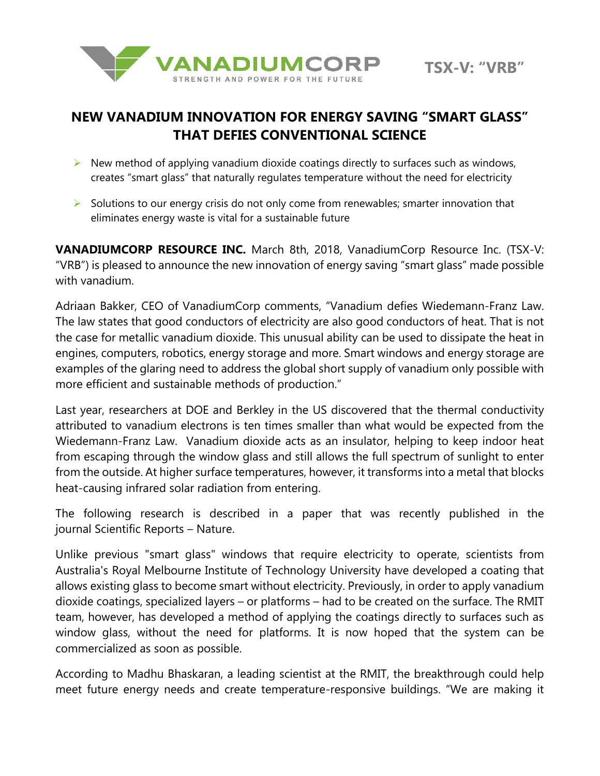

## **NEW VANADIUM INNOVATION FOR ENERGY SAVING "SMART GLASS" THAT DEFIES CONVENTIONAL SCIENCE**

- $\triangleright$  New method of applying vanadium dioxide coatings directly to surfaces such as windows, creates "smart glass" that naturally regulates temperature without the need for electricity
- $\triangleright$  Solutions to our energy crisis do not only come from renewables; smarter innovation that eliminates energy waste is vital for a sustainable future

**VANADIUMCORP RESOURCE INC.** March 8th, 2018, VanadiumCorp Resource Inc. (TSX-V: "VRB") is pleased to announce the new innovation of energy saving "smart glass" made possible with vanadium.

Adriaan Bakker, CEO of VanadiumCorp comments, "Vanadium defies Wiedemann-Franz Law. The law states that good conductors of electricity are also good conductors of heat. That is not the case for metallic vanadium dioxide. This unusual ability can be used to dissipate the heat in engines, computers, robotics, energy storage and more. Smart windows and energy storage are examples of the glaring need to address the global short supply of vanadium only possible with more efficient and sustainable methods of production."

Last year, researchers at DOE and Berkley in the US discovered that the thermal conductivity attributed to vanadium electrons is ten times smaller than what would be expected from the Wiedemann-Franz Law. Vanadium dioxide acts as an insulator, helping to keep indoor heat from escaping through the window glass and still allows the full spectrum of sunlight to enter from the outside. At higher surface temperatures, however, it transforms into a metal that blocks heat-causing infrared solar radiation from entering.

The following research is described in a paper that was recently published in the journal [Scientific Reports](https://www.nature.com/articles/s41598-017-17937-3) – Nature.

Unlike previous ["smart glass"](https://newatlas.com/kinestral-halio-glass-smart-tint/46867/) windows that require electricity to operate, scientists from Australia's Royal Melbourne Institute of Technology University have developed a coating that allows existing glass to become smart without electricity. Previously, in order to apply vanadium dioxide coatings, specialized layers – or platforms – had to be created on the surface. The RMIT team, however, has developed a method of applying the coatings directly to surfaces such as window glass, without the need for platforms. It is now hoped that the system can be commercialized as soon as possible.

According to Madhu Bhaskaran, a leading scientist at the RMIT, the breakthrough could help meet future energy needs and create temperature-responsive buildings. "We are making it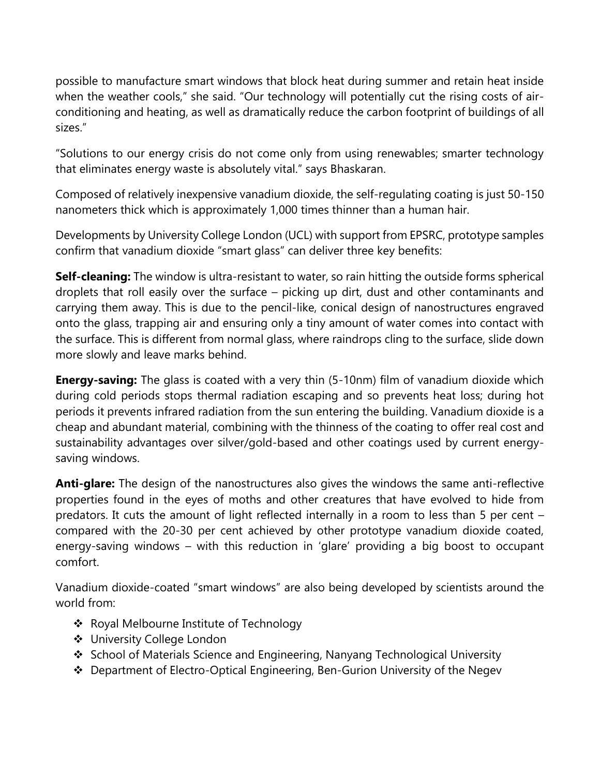possible to manufacture smart windows that block heat during summer and retain heat inside when the weather cools," she said. "Our technology will potentially cut the rising costs of airconditioning and heating, as well as dramatically reduce the carbon footprint of buildings of all sizes."

"Solutions to our energy crisis do not come only from using renewables; smarter technology that eliminates energy waste is absolutely vital." says Bhaskaran.

Composed of relatively inexpensive vanadium dioxide, the self-regulating coating is just 50-150 nanometers thick which is approximately 1,000 times thinner than a human hair.

Developments by University College London (UCL) with support from EPSRC, prototype samples confirm that vanadium dioxide "smart glass" can deliver three key benefits:

**Self-cleaning:** The window is ultra-resistant to water, so rain hitting the outside forms spherical droplets that roll easily over the surface – picking up dirt, dust and other contaminants and carrying them away. This is due to the pencil-like, conical design of nanostructures engraved onto the glass, trapping air and ensuring only a tiny amount of water comes into contact with the surface. This is different from normal glass, where raindrops cling to the surface, slide down more slowly and leave marks behind.

**Energy-saving:** The glass is coated with a very thin (5-10nm) film of vanadium dioxide which during cold periods stops thermal radiation escaping and so prevents heat loss; during hot periods it prevents infrared radiation from the sun entering the building. Vanadium dioxide is a cheap and abundant material, combining with the thinness of the coating to offer real cost and sustainability advantages over silver/gold-based and other coatings used by current energysaving windows.

**Anti-glare:** The design of the nanostructures also gives the windows the same anti-reflective properties found in the eyes of moths and other creatures that have evolved to hide from predators. It cuts the amount of light reflected internally in a room to less than 5 per cent – compared with the 20-30 per cent achieved by other prototype vanadium dioxide coated, energy-saving windows – with this reduction in 'glare' providing a big boost to occupant comfort.

Vanadium dioxide-coated "smart windows" are also being developed by scientists around the world from:

- ❖ Royal Melbourne Institute of Technology
- ❖ University College London
- ❖ School of Materials Science and Engineering, Nanyang Technological University
- ❖ Department of Electro-Optical Engineering, Ben-Gurion University of the Negev